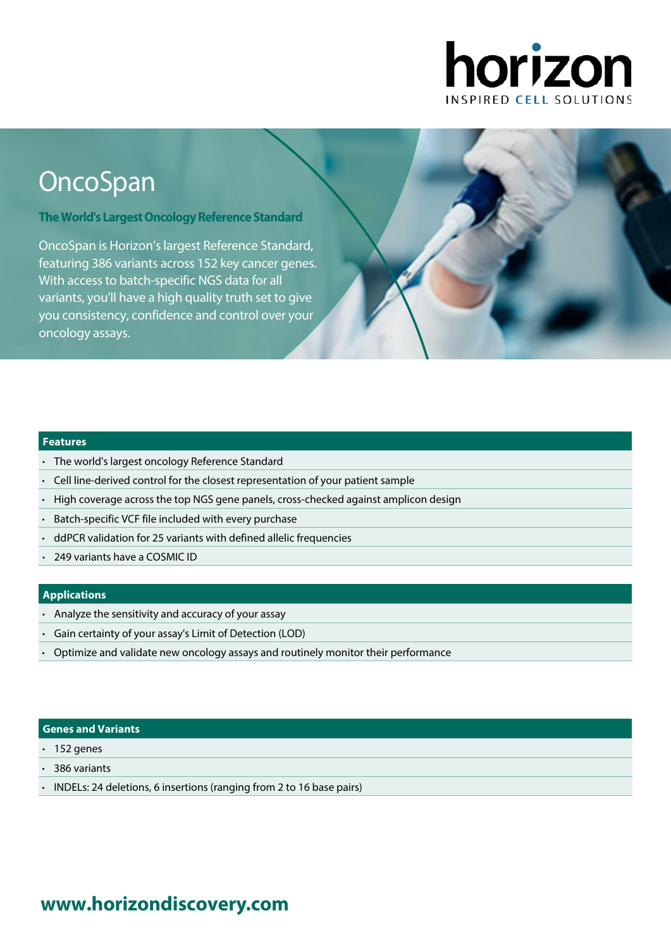

# **OncoSpan**

**The World's Largest Oncology Reference Standard** 

OncoSpan is Horizon's largest Reference Standard, featuring 386 variants across 152 key cancer genes. With access to batch-specific NGS data for all variants, you'll have a high quality truth set to give you consistency, confidence and control over your oncology assays.

#### **Features**

- The world's largest oncology Reference Standard
- Cell line-derived control for the closest representation of your patient sample
- High coverage across the top NGS gene panels, cross-checked against amplicon design
- Batch-specific VCF file included with every purchase
- ddPCR validation for 25 variants with defined allelic frequencies
- 249 variants have a COSMIC ID

#### **Applications**

- Analyze the sensitivity and accuracy of your assay
- Gain certainty of your assay's Limit of Detection (LOD)
- Optimize and validate new oncology assays and routinely monitor their performance

#### **Genes and Variants**

- $\cdot$  152 genes
- 386 variants
- INDELs: 24 deletions, 6 insertions (ranging from 2 to 16 base pairs)

## **[www.horizondiscovery.com](www.horizondiscovery.com?utm_source=revisit&utm_medium=pdf&utm_campaign=dx)**